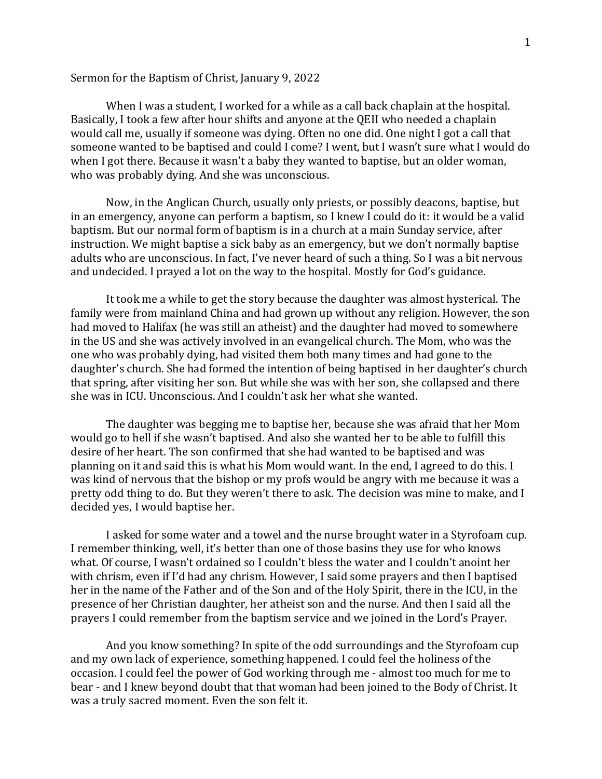## Sermon for the Baptism of Christ, January 9, 2022

When I was a student, I worked for a while as a call back chaplain at the hospital. Basically, I took a few after hour shifts and anyone at the QEII who needed a chaplain would call me, usually if someone was dying. Often no one did. One night I got a call that someone wanted to be baptised and could I come? I went, but I wasn't sure what I would do when I got there. Because it wasn't a baby they wanted to baptise, but an older woman, who was probably dying. And she was unconscious.

Now, in the Anglican Church, usually only priests, or possibly deacons, baptise, but in an emergency, anyone can perform a baptism, so I knew I could do it: it would be a valid baptism. But our normal form of baptism is in a church at a main Sunday service, after instruction. We might baptise a sick baby as an emergency, but we don't normally baptise adults who are unconscious. In fact, I've never heard of such a thing. So I was a bit nervous and undecided. I prayed a lot on the way to the hospital. Mostly for God's guidance.

It took me a while to get the story because the daughter was almost hysterical. The family were from mainland China and had grown up without any religion. However, the son had moved to Halifax (he was still an atheist) and the daughter had moved to somewhere in the US and she was actively involved in an evangelical church. The Mom, who was the one who was probably dying, had visited them both many times and had gone to the daughter's church. She had formed the intention of being baptised in her daughter's church that spring, after visiting her son. But while she was with her son, she collapsed and there she was in ICU. Unconscious. And I couldn't ask her what she wanted.

The daughter was begging me to baptise her, because she was afraid that her Mom would go to hell if she wasn't baptised. And also she wanted her to be able to fulfill this desire of her heart. The son confirmed that she had wanted to be baptised and was planning on it and said this is what his Mom would want. In the end, I agreed to do this. I was kind of nervous that the bishop or my profs would be angry with me because it was a pretty odd thing to do. But they weren't there to ask. The decision was mine to make, and I decided yes, I would baptise her.

I asked for some water and a towel and the nurse brought water in a Styrofoam cup. I remember thinking, well, it's better than one of those basins they use for who knows what. Of course, I wasn't ordained so I couldn't bless the water and I couldn't anoint her with chrism, even if I'd had any chrism. However, I said some prayers and then I baptised her in the name of the Father and of the Son and of the Holy Spirit, there in the ICU, in the presence of her Christian daughter, her atheist son and the nurse. And then I said all the prayers I could remember from the baptism service and we joined in the Lord's Prayer.

And you know something? In spite of the odd surroundings and the Styrofoam cup and my own lack of experience, something happened. I could feel the holiness of the occasion. I could feel the power of God working through me - almost too much for me to bear - and I knew beyond doubt that that woman had been joined to the Body of Christ. It was a truly sacred moment. Even the son felt it.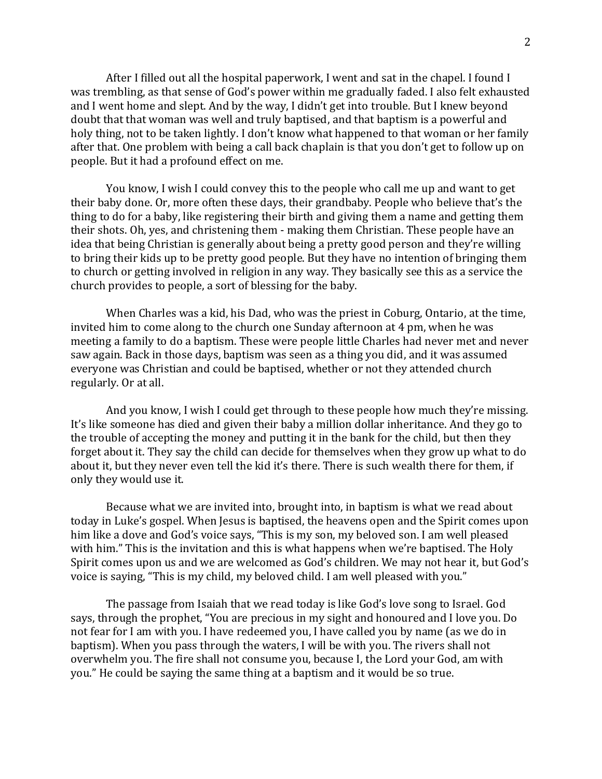After I filled out all the hospital paperwork, I went and sat in the chapel. I found I was trembling, as that sense of God's power within me gradually faded. I also felt exhausted and I went home and slept. And by the way, I didn't get into trouble. But I knew beyond doubt that that woman was well and truly baptised, and that baptism is a powerful and holy thing, not to be taken lightly. I don't know what happened to that woman or her family after that. One problem with being a call back chaplain is that you don't get to follow up on people. But it had a profound effect on me.

You know, I wish I could convey this to the people who call me up and want to get their baby done. Or, more often these days, their grandbaby. People who believe that's the thing to do for a baby, like registering their birth and giving them a name and getting them their shots. Oh, yes, and christening them - making them Christian. These people have an idea that being Christian is generally about being a pretty good person and they're willing to bring their kids up to be pretty good people. But they have no intention of bringing them to church or getting involved in religion in any way. They basically see this as a service the church provides to people, a sort of blessing for the baby.

When Charles was a kid, his Dad, who was the priest in Coburg, Ontario, at the time, invited him to come along to the church one Sunday afternoon at 4 pm, when he was meeting a family to do a baptism. These were people little Charles had never met and never saw again. Back in those days, baptism was seen as a thing you did, and it was assumed everyone was Christian and could be baptised, whether or not they attended church regularly. Or at all.

And you know, I wish I could get through to these people how much they're missing. It's like someone has died and given their baby a million dollar inheritance. And they go to the trouble of accepting the money and putting it in the bank for the child, but then they forget about it. They say the child can decide for themselves when they grow up what to do about it, but they never even tell the kid it's there. There is such wealth there for them, if only they would use it.

Because what we are invited into, brought into, in baptism is what we read about today in Luke's gospel. When Jesus is baptised, the heavens open and the Spirit comes upon him like a dove and God's voice says, "This is my son, my beloved son. I am well pleased with him." This is the invitation and this is what happens when we're baptised. The Holy Spirit comes upon us and we are welcomed as God's children. We may not hear it, but God's voice is saying, "This is my child, my beloved child. I am well pleased with you."

The passage from Isaiah that we read today is like God's love song to Israel. God says, through the prophet, "You are precious in my sight and honoured and I love you. Do not fear for I am with you. I have redeemed you, I have called you by name (as we do in baptism). When you pass through the waters, I will be with you. The rivers shall not overwhelm you. The fire shall not consume you, because I, the Lord your God, am with you." He could be saying the same thing at a baptism and it would be so true.